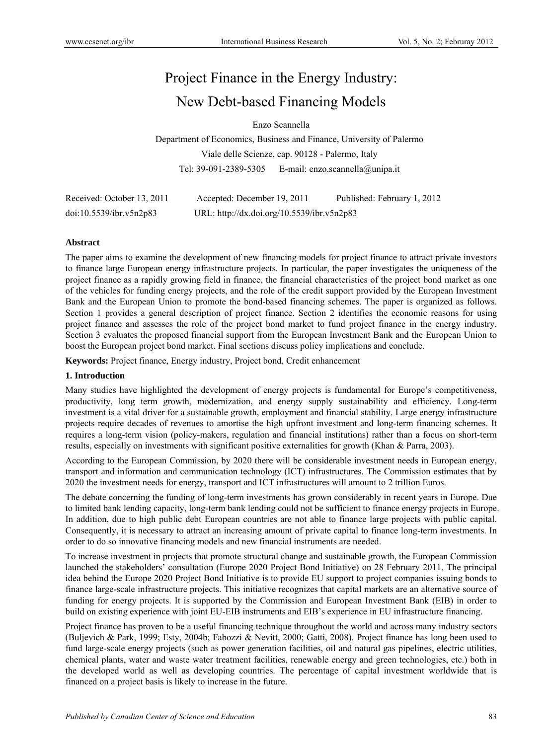# Project Finance in the Energy Industry: New Debt-based Financing Models

Enzo Scannella

Department of Economics, Business and Finance, University of Palermo Viale delle Scienze, cap. 90128 - Palermo, Italy Tel: 39-091-2389-5305 E-mail: enzo.scannella@unipa.it

| Received: October 13, 2011 | Accepted: December 19, 2011                | Published: February 1, 2012 |
|----------------------------|--------------------------------------------|-----------------------------|
| doi:10.5539/ibr.v5n2p83    | URL: http://dx.doi.org/10.5539/ibr.v5n2p83 |                             |

## **Abstract**

The paper aims to examine the development of new financing models for project finance to attract private investors to finance large European energy infrastructure projects. In particular, the paper investigates the uniqueness of the project finance as a rapidly growing field in finance, the financial characteristics of the project bond market as one of the vehicles for funding energy projects, and the role of the credit support provided by the European Investment Bank and the European Union to promote the bond-based financing schemes. The paper is organized as follows. Section 1 provides a general description of project finance. Section 2 identifies the economic reasons for using project finance and assesses the role of the project bond market to fund project finance in the energy industry. Section 3 evaluates the proposed financial support from the European Investment Bank and the European Union to boost the European project bond market. Final sections discuss policy implications and conclude.

**Keywords:** Project finance, Energy industry, Project bond, Credit enhancement

## **1. Introduction**

Many studies have highlighted the development of energy projects is fundamental for Europe's competitiveness, productivity, long term growth, modernization, and energy supply sustainability and efficiency. Long-term investment is a vital driver for a sustainable growth, employment and financial stability. Large energy infrastructure projects require decades of revenues to amortise the high upfront investment and long-term financing schemes. It requires a long-term vision (policy-makers, regulation and financial institutions) rather than a focus on short-term results, especially on investments with significant positive externalities for growth (Khan & Parra, 2003).

According to the European Commission, by 2020 there will be considerable investment needs in European energy, transport and information and communication technology (ICT) infrastructures. The Commission estimates that by 2020 the investment needs for energy, transport and ICT infrastructures will amount to 2 trillion Euros.

The debate concerning the funding of long-term investments has grown considerably in recent years in Europe. Due to limited bank lending capacity, long-term bank lending could not be sufficient to finance energy projects in Europe. In addition, due to high public debt European countries are not able to finance large projects with public capital. Consequently, it is necessary to attract an increasing amount of private capital to finance long-term investments. In order to do so innovative financing models and new financial instruments are needed.

To increase investment in projects that promote structural change and sustainable growth, the European Commission launched the stakeholders' consultation (Europe 2020 Project Bond Initiative) on 28 February 2011. The principal idea behind the Europe 2020 Project Bond Initiative is to provide EU support to project companies issuing bonds to finance large-scale infrastructure projects. This initiative recognizes that capital markets are an alternative source of funding for energy projects. It is supported by the Commission and European Investment Bank (EIB) in order to build on existing experience with joint EU-EIB instruments and EIB's experience in EU infrastructure financing.

Project finance has proven to be a useful financing technique throughout the world and across many industry sectors (Buljevich & Park, 1999; Esty, 2004b; Fabozzi & Nevitt, 2000; Gatti, 2008). Project finance has long been used to fund large-scale energy projects (such as power generation facilities, oil and natural gas pipelines, electric utilities, chemical plants, water and waste water treatment facilities, renewable energy and green technologies, etc.) both in the developed world as well as developing countries. The percentage of capital investment worldwide that is financed on a project basis is likely to increase in the future.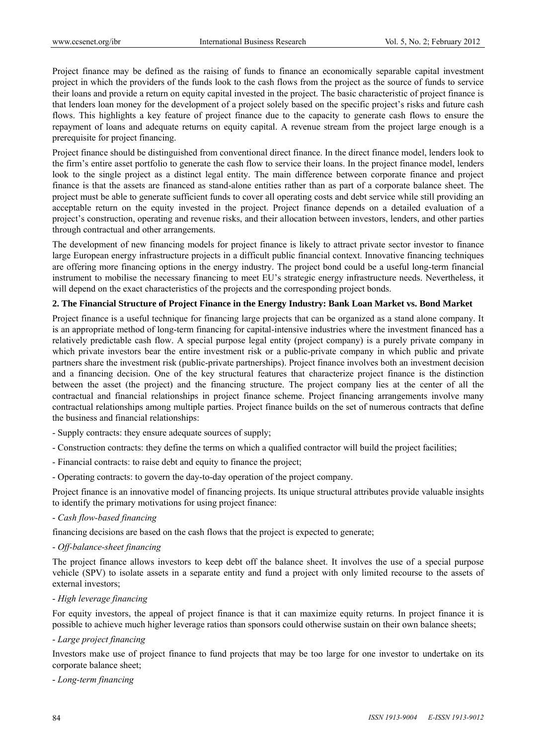Project finance may be defined as the raising of funds to finance an economically separable capital investment project in which the providers of the funds look to the cash flows from the project as the source of funds to service their loans and provide a return on equity capital invested in the project. The basic characteristic of project finance is that lenders loan money for the development of a project solely based on the specific project's risks and future cash flows. This highlights a key feature of project finance due to the capacity to generate cash flows to ensure the repayment of loans and adequate returns on equity capital. A revenue stream from the project large enough is a prerequisite for project financing.

Project finance should be distinguished from conventional direct finance. In the direct finance model, lenders look to the firm's entire asset portfolio to generate the cash flow to service their loans. In the project finance model, lenders look to the single project as a distinct legal entity. The main difference between corporate finance and project finance is that the assets are financed as stand-alone entities rather than as part of a corporate balance sheet. The project must be able to generate sufficient funds to cover all operating costs and debt service while still providing an acceptable return on the equity invested in the project. Project finance depends on a detailed evaluation of a project's construction, operating and revenue risks, and their allocation between investors, lenders, and other parties through contractual and other arrangements.

The development of new financing models for project finance is likely to attract private sector investor to finance large European energy infrastructure projects in a difficult public financial context. Innovative financing techniques are offering more financing options in the energy industry. The project bond could be a useful long-term financial instrument to mobilise the necessary financing to meet EU's strategic energy infrastructure needs. Nevertheless, it will depend on the exact characteristics of the projects and the corresponding project bonds.

### **2. The Financial Structure of Project Finance in the Energy Industry: Bank Loan Market vs. Bond Market**

Project finance is a useful technique for financing large projects that can be organized as a stand alone company. It is an appropriate method of long-term financing for capital-intensive industries where the investment financed has a relatively predictable cash flow. A special purpose legal entity (project company) is a purely private company in which private investors bear the entire investment risk or a public-private company in which public and private partners share the investment risk (public-private partnerships). Project finance involves both an investment decision and a financing decision. One of the key structural features that characterize project finance is the distinction between the asset (the project) and the financing structure. The project company lies at the center of all the contractual and financial relationships in project finance scheme. Project financing arrangements involve many contractual relationships among multiple parties. Project finance builds on the set of numerous contracts that define the business and financial relationships:

- Supply contracts: they ensure adequate sources of supply;
- Construction contracts: they define the terms on which a qualified contractor will build the project facilities;
- Financial contracts: to raise debt and equity to finance the project;
- Operating contracts: to govern the day-to-day operation of the project company.

Project finance is an innovative model of financing projects. Its unique structural attributes provide valuable insights to identify the primary motivations for using project finance:

- *Cash flow-based financing*

financing decisions are based on the cash flows that the project is expected to generate;

- *Off-balance-sheet financing*

The project finance allows investors to keep debt off the balance sheet. It involves the use of a special purpose vehicle (SPV) to isolate assets in a separate entity and fund a project with only limited recourse to the assets of external investors;

- *High leverage financing* 

For equity investors, the appeal of project finance is that it can maximize equity returns. In project finance it is possible to achieve much higher leverage ratios than sponsors could otherwise sustain on their own balance sheets;

- *Large project financing*

Investors make use of project finance to fund projects that may be too large for one investor to undertake on its corporate balance sheet;

- *Long-term financing*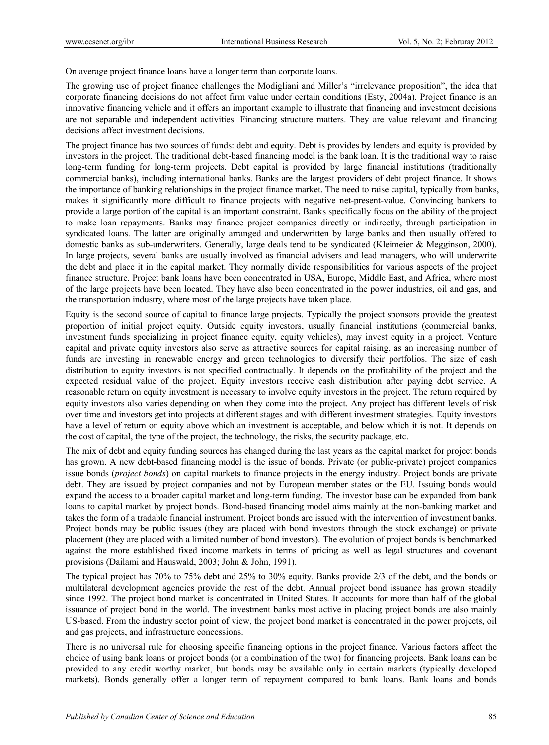On average project finance loans have a longer term than corporate loans.

The growing use of project finance challenges the Modigliani and Miller's "irrelevance proposition", the idea that corporate financing decisions do not affect firm value under certain conditions (Esty, 2004a). Project finance is an innovative financing vehicle and it offers an important example to illustrate that financing and investment decisions are not separable and independent activities. Financing structure matters. They are value relevant and financing decisions affect investment decisions.

The project finance has two sources of funds: debt and equity. Debt is provides by lenders and equity is provided by investors in the project. The traditional debt-based financing model is the bank loan. It is the traditional way to raise long-term funding for long-term projects. Debt capital is provided by large financial institutions (traditionally commercial banks), including international banks. Banks are the largest providers of debt project finance. It shows the importance of banking relationships in the project finance market. The need to raise capital, typically from banks, makes it significantly more difficult to finance projects with negative net-present-value. Convincing bankers to provide a large portion of the capital is an important constraint. Banks specifically focus on the ability of the project to make loan repayments. Banks may finance project companies directly or indirectly, through participation in syndicated loans. The latter are originally arranged and underwritten by large banks and then usually offered to domestic banks as sub-underwriters. Generally, large deals tend to be syndicated (Kleimeier & Megginson, 2000). In large projects, several banks are usually involved as financial advisers and lead managers, who will underwrite the debt and place it in the capital market. They normally divide responsibilities for various aspects of the project finance structure. Project bank loans have been concentrated in USA, Europe, Middle East, and Africa, where most of the large projects have been located. They have also been concentrated in the power industries, oil and gas, and the transportation industry, where most of the large projects have taken place.

Equity is the second source of capital to finance large projects. Typically the project sponsors provide the greatest proportion of initial project equity. Outside equity investors, usually financial institutions (commercial banks, investment funds specializing in project finance equity, equity vehicles), may invest equity in a project. Venture capital and private equity investors also serve as attractive sources for capital raising, as an increasing number of funds are investing in renewable energy and green technologies to diversify their portfolios. The size of cash distribution to equity investors is not specified contractually. It depends on the profitability of the project and the expected residual value of the project. Equity investors receive cash distribution after paying debt service. A reasonable return on equity investment is necessary to involve equity investors in the project. The return required by equity investors also varies depending on when they come into the project. Any project has different levels of risk over time and investors get into projects at different stages and with different investment strategies. Equity investors have a level of return on equity above which an investment is acceptable, and below which it is not. It depends on the cost of capital, the type of the project, the technology, the risks, the security package, etc.

The mix of debt and equity funding sources has changed during the last years as the capital market for project bonds has grown. A new debt-based financing model is the issue of bonds. Private (or public-private) project companies issue bonds (*project bonds*) on capital markets to finance projects in the energy industry. Project bonds are private debt. They are issued by project companies and not by European member states or the EU. Issuing bonds would expand the access to a broader capital market and long-term funding. The investor base can be expanded from bank loans to capital market by project bonds. Bond-based financing model aims mainly at the non-banking market and takes the form of a tradable financial instrument. Project bonds are issued with the intervention of investment banks. Project bonds may be public issues (they are placed with bond investors through the stock exchange) or private placement (they are placed with a limited number of bond investors). The evolution of project bonds is benchmarked against the more established fixed income markets in terms of pricing as well as legal structures and covenant provisions (Dailami and Hauswald, 2003; John & John, 1991).

The typical project has 70% to 75% debt and 25% to 30% equity. Banks provide 2/3 of the debt, and the bonds or multilateral development agencies provide the rest of the debt. Annual project bond issuance has grown steadily since 1992. The project bond market is concentrated in United States. It accounts for more than half of the global issuance of project bond in the world. The investment banks most active in placing project bonds are also mainly US-based. From the industry sector point of view, the project bond market is concentrated in the power projects, oil and gas projects, and infrastructure concessions.

There is no universal rule for choosing specific financing options in the project finance. Various factors affect the choice of using bank loans or project bonds (or a combination of the two) for financing projects. Bank loans can be provided to any credit worthy market, but bonds may be available only in certain markets (typically developed markets). Bonds generally offer a longer term of repayment compared to bank loans. Bank loans and bonds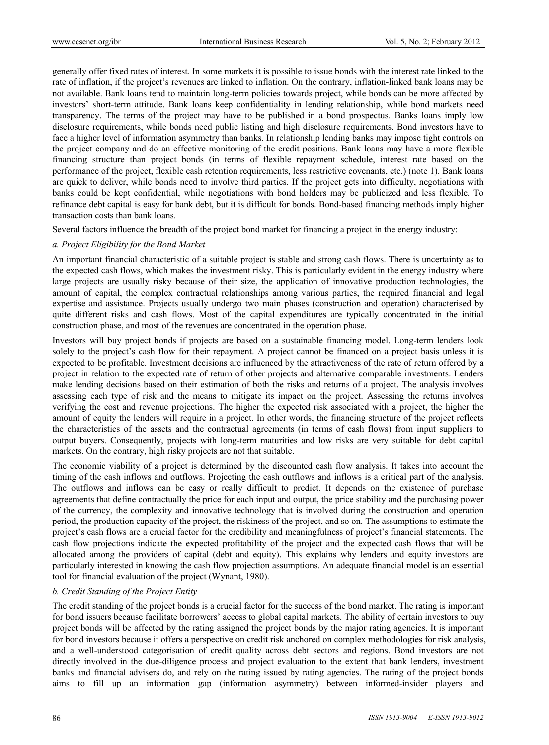generally offer fixed rates of interest. In some markets it is possible to issue bonds with the interest rate linked to the rate of inflation, if the project's revenues are linked to inflation. On the contrary, inflation-linked bank loans may be not available. Bank loans tend to maintain long-term policies towards project, while bonds can be more affected by investors' short-term attitude. Bank loans keep confidentiality in lending relationship, while bond markets need transparency. The terms of the project may have to be published in a bond prospectus. Banks loans imply low disclosure requirements, while bonds need public listing and high disclosure requirements. Bond investors have to face a higher level of information asymmetry than banks. In relationship lending banks may impose tight controls on the project company and do an effective monitoring of the credit positions. Bank loans may have a more flexible financing structure than project bonds (in terms of flexible repayment schedule, interest rate based on the performance of the project, flexible cash retention requirements, less restrictive covenants, etc.) (note 1). Bank loans are quick to deliver, while bonds need to involve third parties. If the project gets into difficulty, negotiations with banks could be kept confidential, while negotiations with bond holders may be publicized and less flexible. To refinance debt capital is easy for bank debt, but it is difficult for bonds. Bond-based financing methods imply higher transaction costs than bank loans.

Several factors influence the breadth of the project bond market for financing a project in the energy industry:

#### *a. Project Eligibility for the Bond Market*

An important financial characteristic of a suitable project is stable and strong cash flows. There is uncertainty as to the expected cash flows, which makes the investment risky. This is particularly evident in the energy industry where large projects are usually risky because of their size, the application of innovative production technologies, the amount of capital, the complex contractual relationships among various parties, the required financial and legal expertise and assistance. Projects usually undergo two main phases (construction and operation) characterised by quite different risks and cash flows. Most of the capital expenditures are typically concentrated in the initial construction phase, and most of the revenues are concentrated in the operation phase.

Investors will buy project bonds if projects are based on a sustainable financing model. Long-term lenders look solely to the project's cash flow for their repayment. A project cannot be financed on a project basis unless it is expected to be profitable. Investment decisions are influenced by the attractiveness of the rate of return offered by a project in relation to the expected rate of return of other projects and alternative comparable investments. Lenders make lending decisions based on their estimation of both the risks and returns of a project. The analysis involves assessing each type of risk and the means to mitigate its impact on the project. Assessing the returns involves verifying the cost and revenue projections. The higher the expected risk associated with a project, the higher the amount of equity the lenders will require in a project. In other words, the financing structure of the project reflects the characteristics of the assets and the contractual agreements (in terms of cash flows) from input suppliers to output buyers. Consequently, projects with long-term maturities and low risks are very suitable for debt capital markets. On the contrary, high risky projects are not that suitable.

The economic viability of a project is determined by the discounted cash flow analysis. It takes into account the timing of the cash inflows and outflows. Projecting the cash outflows and inflows is a critical part of the analysis. The outflows and inflows can be easy or really difficult to predict. It depends on the existence of purchase agreements that define contractually the price for each input and output, the price stability and the purchasing power of the currency, the complexity and innovative technology that is involved during the construction and operation period, the production capacity of the project, the riskiness of the project, and so on. The assumptions to estimate the project's cash flows are a crucial factor for the credibility and meaningfulness of project's financial statements. The cash flow projections indicate the expected profitability of the project and the expected cash flows that will be allocated among the providers of capital (debt and equity). This explains why lenders and equity investors are particularly interested in knowing the cash flow projection assumptions. An adequate financial model is an essential tool for financial evaluation of the project (Wynant, 1980).

#### *b. Credit Standing of the Project Entity*

The credit standing of the project bonds is a crucial factor for the success of the bond market. The rating is important for bond issuers because facilitate borrowers' access to global capital markets. The ability of certain investors to buy project bonds will be affected by the rating assigned the project bonds by the major rating agencies. It is important for bond investors because it offers a perspective on credit risk anchored on complex methodologies for risk analysis, and a well-understood categorisation of credit quality across debt sectors and regions. Bond investors are not directly involved in the due-diligence process and project evaluation to the extent that bank lenders, investment banks and financial advisers do, and rely on the rating issued by rating agencies. The rating of the project bonds aims to fill up an information gap (information asymmetry) between informed-insider players and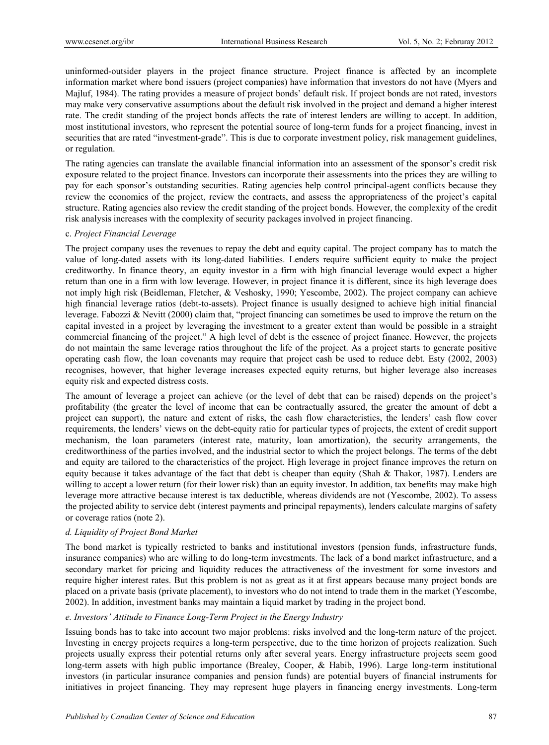uninformed-outsider players in the project finance structure. Project finance is affected by an incomplete information market where bond issuers (project companies) have information that investors do not have (Myers and Majluf, 1984). The rating provides a measure of project bonds' default risk. If project bonds are not rated, investors may make very conservative assumptions about the default risk involved in the project and demand a higher interest rate. The credit standing of the project bonds affects the rate of interest lenders are willing to accept. In addition, most institutional investors, who represent the potential source of long-term funds for a project financing, invest in securities that are rated "investment-grade". This is due to corporate investment policy, risk management guidelines, or regulation.

The rating agencies can translate the available financial information into an assessment of the sponsor's credit risk exposure related to the project finance. Investors can incorporate their assessments into the prices they are willing to pay for each sponsor's outstanding securities. Rating agencies help control principal-agent conflicts because they review the economics of the project, review the contracts, and assess the appropriateness of the project's capital structure. Rating agencies also review the credit standing of the project bonds. However, the complexity of the credit risk analysis increases with the complexity of security packages involved in project financing.

## c. *Project Financial Leverage*

The project company uses the revenues to repay the debt and equity capital. The project company has to match the value of long-dated assets with its long-dated liabilities. Lenders require sufficient equity to make the project creditworthy. In finance theory, an equity investor in a firm with high financial leverage would expect a higher return than one in a firm with low leverage. However, in project finance it is different, since its high leverage does not imply high risk (Beidleman, Fletcher, & Veshosky, 1990; Yescombe, 2002). The project company can achieve high financial leverage ratios (debt-to-assets). Project finance is usually designed to achieve high initial financial leverage. Fabozzi & Nevitt (2000) claim that, "project financing can sometimes be used to improve the return on the capital invested in a project by leveraging the investment to a greater extent than would be possible in a straight commercial financing of the project." A high level of debt is the essence of project finance. However, the projects do not maintain the same leverage ratios throughout the life of the project. As a project starts to generate positive operating cash flow, the loan covenants may require that project cash be used to reduce debt. Esty (2002, 2003) recognises, however, that higher leverage increases expected equity returns, but higher leverage also increases equity risk and expected distress costs.

The amount of leverage a project can achieve (or the level of debt that can be raised) depends on the project's profitability (the greater the level of income that can be contractually assured, the greater the amount of debt a project can support), the nature and extent of risks, the cash flow characteristics, the lenders' cash flow cover requirements, the lenders' views on the debt-equity ratio for particular types of projects, the extent of credit support mechanism, the loan parameters (interest rate, maturity, loan amortization), the security arrangements, the creditworthiness of the parties involved, and the industrial sector to which the project belongs. The terms of the debt and equity are tailored to the characteristics of the project. High leverage in project finance improves the return on equity because it takes advantage of the fact that debt is cheaper than equity (Shah & Thakor, 1987). Lenders are willing to accept a lower return (for their lower risk) than an equity investor. In addition, tax benefits may make high leverage more attractive because interest is tax deductible, whereas dividends are not (Yescombe, 2002). To assess the projected ability to service debt (interest payments and principal repayments), lenders calculate margins of safety or coverage ratios (note 2).

#### *d. Liquidity of Project Bond Market*

The bond market is typically restricted to banks and institutional investors (pension funds, infrastructure funds, insurance companies) who are willing to do long-term investments. The lack of a bond market infrastructure, and a secondary market for pricing and liquidity reduces the attractiveness of the investment for some investors and require higher interest rates. But this problem is not as great as it at first appears because many project bonds are placed on a private basis (private placement), to investors who do not intend to trade them in the market (Yescombe, 2002). In addition, investment banks may maintain a liquid market by trading in the project bond.

#### *e. Investors' Attitude to Finance Long-Term Project in the Energy Industry*

Issuing bonds has to take into account two major problems: risks involved and the long-term nature of the project. Investing in energy projects requires a long-term perspective, due to the time horizon of projects realization. Such projects usually express their potential returns only after several years. Energy infrastructure projects seem good long-term assets with high public importance (Brealey, Cooper, & Habib, 1996). Large long-term institutional investors (in particular insurance companies and pension funds) are potential buyers of financial instruments for initiatives in project financing. They may represent huge players in financing energy investments. Long-term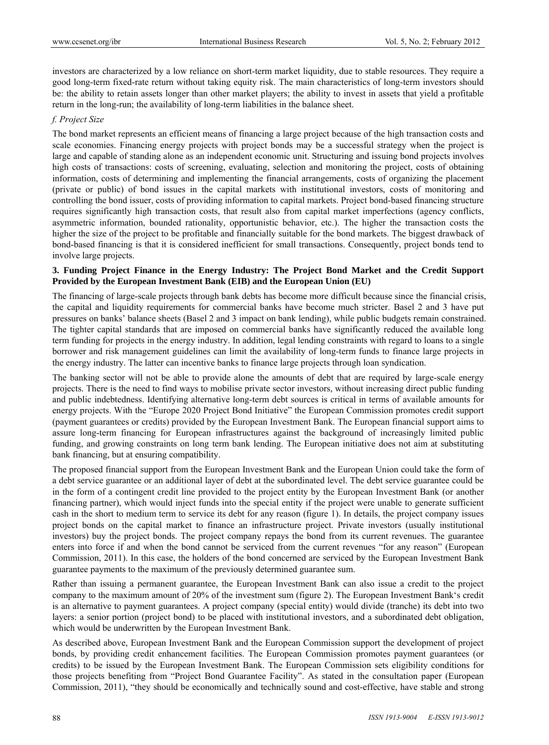investors are characterized by a low reliance on short-term market liquidity, due to stable resources. They require a good long-term fixed-rate return without taking equity risk. The main characteristics of long-term investors should be: the ability to retain assets longer than other market players; the ability to invest in assets that yield a profitable return in the long-run; the availability of long-term liabilities in the balance sheet.

## *f. Project Size*

The bond market represents an efficient means of financing a large project because of the high transaction costs and scale economies. Financing energy projects with project bonds may be a successful strategy when the project is large and capable of standing alone as an independent economic unit. Structuring and issuing bond projects involves high costs of transactions: costs of screening, evaluating, selection and monitoring the project, costs of obtaining information, costs of determining and implementing the financial arrangements, costs of organizing the placement (private or public) of bond issues in the capital markets with institutional investors, costs of monitoring and controlling the bond issuer, costs of providing information to capital markets. Project bond-based financing structure requires significantly high transaction costs, that result also from capital market imperfections (agency conflicts, asymmetric information, bounded rationality, opportunistic behavior, etc.). The higher the transaction costs the higher the size of the project to be profitable and financially suitable for the bond markets. The biggest drawback of bond-based financing is that it is considered inefficient for small transactions. Consequently, project bonds tend to involve large projects.

## **3. Funding Project Finance in the Energy Industry: The Project Bond Market and the Credit Support Provided by the European Investment Bank (EIB) and the European Union (EU)**

The financing of large-scale projects through bank debts has become more difficult because since the financial crisis, the capital and liquidity requirements for commercial banks have become much stricter. Basel 2 and 3 have put pressures on banks' balance sheets (Basel 2 and 3 impact on bank lending), while public budgets remain constrained. The tighter capital standards that are imposed on commercial banks have significantly reduced the available long term funding for projects in the energy industry. In addition, legal lending constraints with regard to loans to a single borrower and risk management guidelines can limit the availability of long-term funds to finance large projects in the energy industry. The latter can incentive banks to finance large projects through loan syndication.

The banking sector will not be able to provide alone the amounts of debt that are required by large-scale energy projects. There is the need to find ways to mobilise private sector investors, without increasing direct public funding and public indebtedness. Identifying alternative long-term debt sources is critical in terms of available amounts for energy projects. With the "Europe 2020 Project Bond Initiative" the European Commission promotes credit support (payment guarantees or credits) provided by the European Investment Bank. The European financial support aims to assure long-term financing for European infrastructures against the background of increasingly limited public funding, and growing constraints on long term bank lending. The European initiative does not aim at substituting bank financing, but at ensuring compatibility.

The proposed financial support from the European Investment Bank and the European Union could take the form of a debt service guarantee or an additional layer of debt at the subordinated level. The debt service guarantee could be in the form of a contingent credit line provided to the project entity by the European Investment Bank (or another financing partner), which would inject funds into the special entity if the project were unable to generate sufficient cash in the short to medium term to service its debt for any reason (figure 1). In details, the project company issues project bonds on the capital market to finance an infrastructure project. Private investors (usually institutional investors) buy the project bonds. The project company repays the bond from its current revenues. The guarantee enters into force if and when the bond cannot be serviced from the current revenues "for any reason" (European Commission, 2011). In this case, the holders of the bond concerned are serviced by the European Investment Bank guarantee payments to the maximum of the previously determined guarantee sum.

Rather than issuing a permanent guarantee, the European Investment Bank can also issue a credit to the project company to the maximum amount of 20% of the investment sum (figure 2). The European Investment Bank's credit is an alternative to payment guarantees. A project company (special entity) would divide (tranche) its debt into two layers: a senior portion (project bond) to be placed with institutional investors, and a subordinated debt obligation, which would be underwritten by the European Investment Bank.

As described above, European Investment Bank and the European Commission support the development of project bonds, by providing credit enhancement facilities. The European Commission promotes payment guarantees (or credits) to be issued by the European Investment Bank. The European Commission sets eligibility conditions for those projects benefiting from "Project Bond Guarantee Facility". As stated in the consultation paper (European Commission, 2011), "they should be economically and technically sound and cost-effective, have stable and strong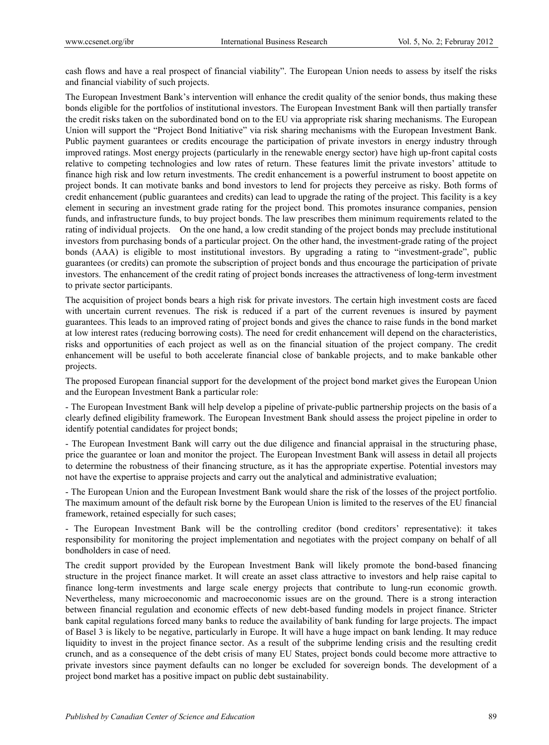cash flows and have a real prospect of financial viability". The European Union needs to assess by itself the risks and financial viability of such projects.

The European Investment Bank's intervention will enhance the credit quality of the senior bonds, thus making these bonds eligible for the portfolios of institutional investors. The European Investment Bank will then partially transfer the credit risks taken on the subordinated bond on to the EU via appropriate risk sharing mechanisms. The European Union will support the "Project Bond Initiative" via risk sharing mechanisms with the European Investment Bank. Public payment guarantees or credits encourage the participation of private investors in energy industry through improved ratings. Most energy projects (particularly in the renewable energy sector) have high up-front capital costs relative to competing technologies and low rates of return. These features limit the private investors' attitude to finance high risk and low return investments. The credit enhancement is a powerful instrument to boost appetite on project bonds. It can motivate banks and bond investors to lend for projects they perceive as risky. Both forms of credit enhancement (public guarantees and credits) can lead to upgrade the rating of the project. This facility is a key element in securing an investment grade rating for the project bond. This promotes insurance companies, pension funds, and infrastructure funds, to buy project bonds. The law prescribes them minimum requirements related to the rating of individual projects. On the one hand, a low credit standing of the project bonds may preclude institutional investors from purchasing bonds of a particular project. On the other hand, the investment-grade rating of the project bonds (AAA) is eligible to most institutional investors. By upgrading a rating to "investment-grade", public guarantees (or credits) can promote the subscription of project bonds and thus encourage the participation of private investors. The enhancement of the credit rating of project bonds increases the attractiveness of long-term investment to private sector participants.

The acquisition of project bonds bears a high risk for private investors. The certain high investment costs are faced with uncertain current revenues. The risk is reduced if a part of the current revenues is insured by payment guarantees. This leads to an improved rating of project bonds and gives the chance to raise funds in the bond market at low interest rates (reducing borrowing costs). The need for credit enhancement will depend on the characteristics, risks and opportunities of each project as well as on the financial situation of the project company. The credit enhancement will be useful to both accelerate financial close of bankable projects, and to make bankable other projects.

The proposed European financial support for the development of the project bond market gives the European Union and the European Investment Bank a particular role:

- The European Investment Bank will help develop a pipeline of private-public partnership projects on the basis of a clearly defined eligibility framework. The European Investment Bank should assess the project pipeline in order to identify potential candidates for project bonds;

- The European Investment Bank will carry out the due diligence and financial appraisal in the structuring phase, price the guarantee or loan and monitor the project. The European Investment Bank will assess in detail all projects to determine the robustness of their financing structure, as it has the appropriate expertise. Potential investors may not have the expertise to appraise projects and carry out the analytical and administrative evaluation;

- The European Union and the European Investment Bank would share the risk of the losses of the project portfolio. The maximum amount of the default risk borne by the European Union is limited to the reserves of the EU financial framework, retained especially for such cases;

- The European Investment Bank will be the controlling creditor (bond creditors' representative): it takes responsibility for monitoring the project implementation and negotiates with the project company on behalf of all bondholders in case of need.

The credit support provided by the European Investment Bank will likely promote the bond-based financing structure in the project finance market. It will create an asset class attractive to investors and help raise capital to finance long-term investments and large scale energy projects that contribute to lung-run economic growth. Nevertheless, many microeconomic and macroeconomic issues are on the ground. There is a strong interaction between financial regulation and economic effects of new debt-based funding models in project finance. Stricter bank capital regulations forced many banks to reduce the availability of bank funding for large projects. The impact of Basel 3 is likely to be negative, particularly in Europe. It will have a huge impact on bank lending. It may reduce liquidity to invest in the project finance sector. As a result of the subprime lending crisis and the resulting credit crunch, and as a consequence of the debt crisis of many EU States, project bonds could become more attractive to private investors since payment defaults can no longer be excluded for sovereign bonds. The development of a project bond market has a positive impact on public debt sustainability.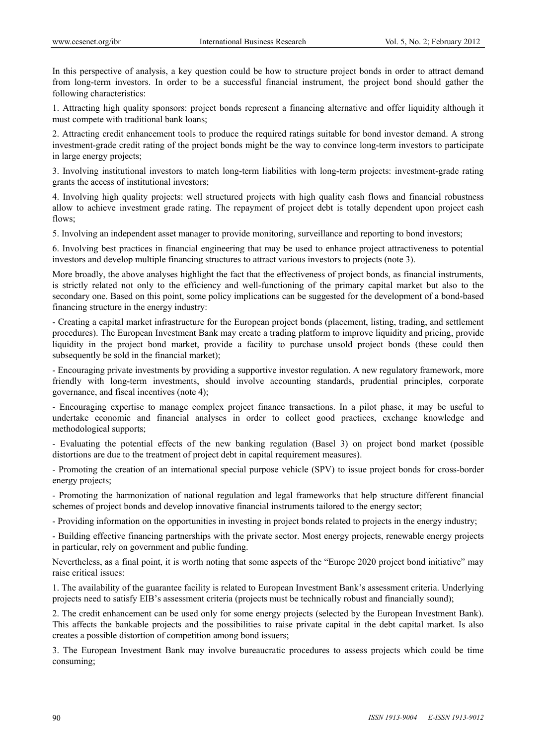In this perspective of analysis, a key question could be how to structure project bonds in order to attract demand from long-term investors. In order to be a successful financial instrument, the project bond should gather the following characteristics:

1. Attracting high quality sponsors: project bonds represent a financing alternative and offer liquidity although it must compete with traditional bank loans;

2. Attracting credit enhancement tools to produce the required ratings suitable for bond investor demand. A strong investment-grade credit rating of the project bonds might be the way to convince long-term investors to participate in large energy projects;

3. Involving institutional investors to match long-term liabilities with long-term projects: investment-grade rating grants the access of institutional investors;

4. Involving high quality projects: well structured projects with high quality cash flows and financial robustness allow to achieve investment grade rating. The repayment of project debt is totally dependent upon project cash flows:

5. Involving an independent asset manager to provide monitoring, surveillance and reporting to bond investors;

6. Involving best practices in financial engineering that may be used to enhance project attractiveness to potential investors and develop multiple financing structures to attract various investors to projects (note 3).

More broadly, the above analyses highlight the fact that the effectiveness of project bonds, as financial instruments, is strictly related not only to the efficiency and well-functioning of the primary capital market but also to the secondary one. Based on this point, some policy implications can be suggested for the development of a bond-based financing structure in the energy industry:

- Creating a capital market infrastructure for the European project bonds (placement, listing, trading, and settlement procedures). The European Investment Bank may create a trading platform to improve liquidity and pricing, provide liquidity in the project bond market, provide a facility to purchase unsold project bonds (these could then subsequently be sold in the financial market);

- Encouraging private investments by providing a supportive investor regulation. A new regulatory framework, more friendly with long-term investments, should involve accounting standards, prudential principles, corporate governance, and fiscal incentives (note 4);

- Encouraging expertise to manage complex project finance transactions. In a pilot phase, it may be useful to undertake economic and financial analyses in order to collect good practices, exchange knowledge and methodological supports;

- Evaluating the potential effects of the new banking regulation (Basel 3) on project bond market (possible distortions are due to the treatment of project debt in capital requirement measures).

- Promoting the creation of an international special purpose vehicle (SPV) to issue project bonds for cross-border energy projects;

- Promoting the harmonization of national regulation and legal frameworks that help structure different financial schemes of project bonds and develop innovative financial instruments tailored to the energy sector;

- Providing information on the opportunities in investing in project bonds related to projects in the energy industry;

- Building effective financing partnerships with the private sector. Most energy projects, renewable energy projects in particular, rely on government and public funding.

Nevertheless, as a final point, it is worth noting that some aspects of the "Europe 2020 project bond initiative" may raise critical issues:

1. The availability of the guarantee facility is related to European Investment Bank's assessment criteria. Underlying projects need to satisfy EIB's assessment criteria (projects must be technically robust and financially sound);

2. The credit enhancement can be used only for some energy projects (selected by the European Investment Bank). This affects the bankable projects and the possibilities to raise private capital in the debt capital market. Is also creates a possible distortion of competition among bond issuers;

3. The European Investment Bank may involve bureaucratic procedures to assess projects which could be time consuming;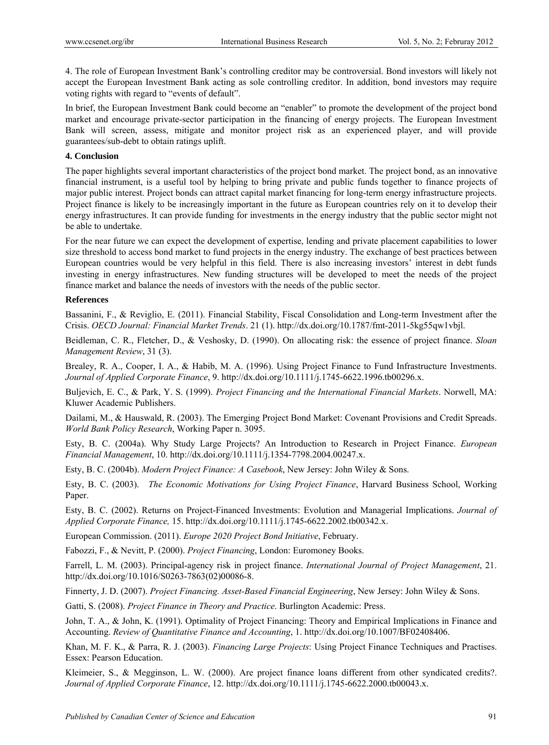4. The role of European Investment Bank's controlling creditor may be controversial. Bond investors will likely not accept the European Investment Bank acting as sole controlling creditor. In addition, bond investors may require voting rights with regard to "events of default".

In brief, the European Investment Bank could become an "enabler" to promote the development of the project bond market and encourage private-sector participation in the financing of energy projects. The European Investment Bank will screen, assess, mitigate and monitor project risk as an experienced player, and will provide guarantees/sub-debt to obtain ratings uplift.

## **4. Conclusion**

The paper highlights several important characteristics of the project bond market. The project bond, as an innovative financial instrument, is a useful tool by helping to bring private and public funds together to finance projects of major public interest. Project bonds can attract capital market financing for long-term energy infrastructure projects. Project finance is likely to be increasingly important in the future as European countries rely on it to develop their energy infrastructures. It can provide funding for investments in the energy industry that the public sector might not be able to undertake.

For the near future we can expect the development of expertise, lending and private placement capabilities to lower size threshold to access bond market to fund projects in the energy industry. The exchange of best practices between European countries would be very helpful in this field. There is also increasing investors' interest in debt funds investing in energy infrastructures. New funding structures will be developed to meet the needs of the project finance market and balance the needs of investors with the needs of the public sector.

#### **References**

Bassanini, F., & Reviglio, E. (2011). Financial Stability, Fiscal Consolidation and Long-term Investment after the Crisis. *OECD Journal: Financial Market Trends*. 21 (1). http://dx.doi.org/10.1787/fmt-2011-5kg55qw1vbjl.

Beidleman, C. R., Fletcher, D., & Veshosky, D. (1990). On allocating risk: the essence of project finance. *Sloan Management Review*, 31 (3).

Brealey, R. A., Cooper, I. A., & Habib, M. A. (1996). Using Project Finance to Fund Infrastructure Investments. *Journal of Applied Corporate Finance*, 9. http://dx.doi.org/10.1111/j.1745-6622.1996.tb00296.x.

Buljevich, E. C., & Park, Y. S. (1999). *Project Financing and the International Financial Markets*. Norwell, MA: Kluwer Academic Publishers.

Dailami, M., & Hauswald, R. (2003). The Emerging Project Bond Market: Covenant Provisions and Credit Spreads. *World Bank Policy Research*, Working Paper n. 3095.

Esty, B. C. (2004a). Why Study Large Projects? An Introduction to Research in Project Finance. *European Financial Management*, 10. http://dx.doi.org/10.1111/j.1354-7798.2004.00247.x.

Esty, B. C. (2004b). *Modern Project Finance: A Casebook*, New Jersey: John Wiley & Sons.

Esty, B. C. (2003). *The Economic Motivations for Using Project Finance*, Harvard Business School, Working Paper.

Esty, B. C. (2002). Returns on Project-Financed Investments: Evolution and Managerial Implications. *Journal of Applied Corporate Finance,* 15. http://dx.doi.org/10.1111/j.1745-6622.2002.tb00342.x.

European Commission. (2011). *Europe 2020 Project Bond Initiative*, February.

Fabozzi, F., & Nevitt, P. (2000). *Project Financing*, London: Euromoney Books.

Farrell, L. M. (2003). Principal-agency risk in project finance. *International Journal of Project Management*, 21. http://dx.doi.org/10.1016/S0263-7863(02)00086-8.

Finnerty, J. D. (2007). *Project Financing. Asset-Based Financial Engineering*, New Jersey: John Wiley & Sons.

Gatti, S. (2008). *Project Finance in Theory and Practice*. Burlington Academic: Press.

John, T. A., & John, K. (1991). Optimality of Project Financing: Theory and Empirical Implications in Finance and Accounting. *Review of Quantitative Finance and Accounting*, 1. http://dx.doi.org/10.1007/BF02408406.

Khan, M. F. K., & Parra, R. J. (2003). *Financing Large Projects*: Using Project Finance Techniques and Practises. Essex: Pearson Education.

Kleimeier, S., & Megginson, L. W. (2000). Are project finance loans different from other syndicated credits?. *Journal of Applied Corporate Finance*, 12. http://dx.doi.org/10.1111/j.1745-6622.2000.tb00043.x.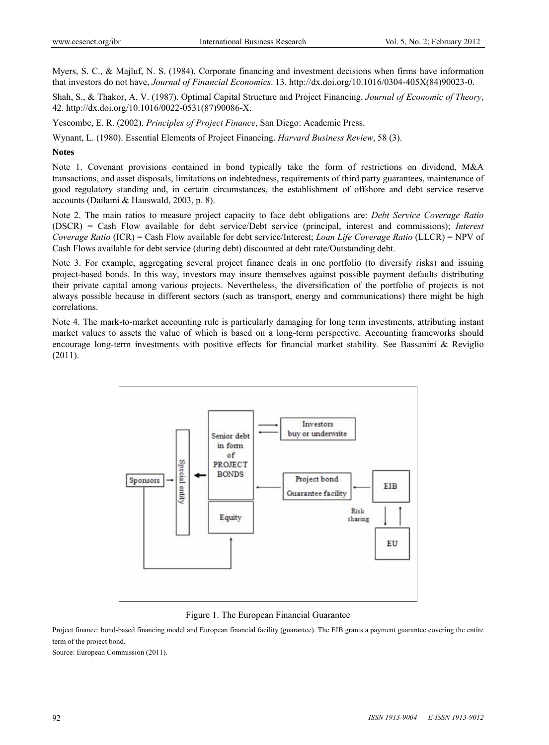Myers, S. C., & Majluf, N. S. (1984). Corporate financing and investment decisions when firms have information that investors do not have, *Journal of Financial Economics*. 13. http://dx.doi.org/10.1016/0304-405X(84)90023-0.

Shah, S., & Thakor, A. V. (1987). Optimal Capital Structure and Project Financing. *Journal of Economic of Theory*, 42. http://dx.doi.org/10.1016/0022-0531(87)90086-X.

Yescombe, E. R. (2002). *Principles of Project Finance*, San Diego: Academic Press.

Wynant, L. (1980). Essential Elements of Project Financing. *Harvard Business Review*, 58 (3).

#### **Notes**

Note 1. Covenant provisions contained in bond typically take the form of restrictions on dividend, M&A transactions, and asset disposals, limitations on indebtedness, requirements of third party guarantees, maintenance of good regulatory standing and, in certain circumstances, the establishment of offshore and debt service reserve accounts (Dailami & Hauswald, 2003, p. 8).

Note 2. The main ratios to measure project capacity to face debt obligations are: *Debt Service Coverage Ratio* (DSCR) = Cash Flow available for debt service/Debt service (principal, interest and commissions); *Interest Coverage Ratio* (ICR) = Cash Flow available for debt service/Interest; *Loan Life Coverage Ratio* (LLCR) = NPV of Cash Flows available for debt service (during debt) discounted at debt rate/Outstanding debt.

Note 3. For example, aggregating several project finance deals in one portfolio (to diversify risks) and issuing project-based bonds. In this way, investors may insure themselves against possible payment defaults distributing their private capital among various projects. Nevertheless, the diversification of the portfolio of projects is not always possible because in different sectors (such as transport, energy and communications) there might be high correlations.

Note 4. The mark-to-market accounting rule is particularly damaging for long term investments, attributing instant market values to assets the value of which is based on a long-term perspective. Accounting frameworks should encourage long-term investments with positive effects for financial market stability. See Bassanini & Reviglio (2011).



Figure 1. The European Financial Guarantee

Project finance: bond-based financing model and European financial facility (guarantee). The EIB grants a payment guarantee covering the entire term of the project bond.

Source: European Commission (2011).